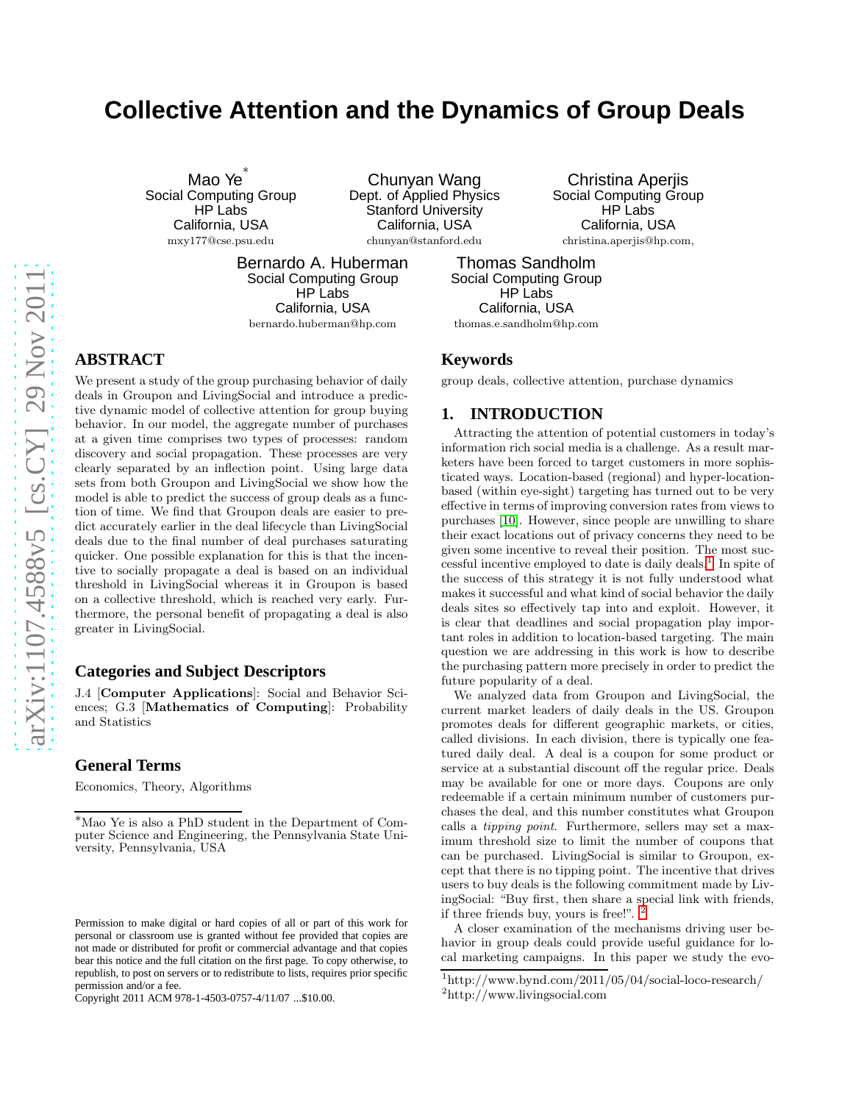# **Collective Attention and the Dynamics of Group Deals**

Mao Ye ∗ Social Computing Group HP Labs California, USA mxy177@cse.psu.edu

Chunyan Wang Dept. of Applied Physics Stanford University California, USA chunyan@stanford.edu

Bernardo A. Huberman Social Computing Group HP Labs California, USA bernardo.huberman@hp.com

christina.aperjis@hp.com, Thomas Sandholm Social Computing Group HP Labs California, USA thomas.e.sandholm@hp.com

## **ABSTRACT**

We present a study of the group purchasing behavior of daily deals in Groupon and LivingSocial and introduce a predictive dynamic model of collective attention for group buying behavior. In our model, the aggregate number of purchases at a given time comprises two types of processes: random discovery and social propagation. These processes are very clearly separated by an inflection point. Using large data sets from both Groupon and LivingSocial we show how the model is able to predict the success of group deals as a function of time. We find that Groupon deals are easier to predict accurately earlier in the deal lifecycle than LivingSocial deals due to the final number of deal purchases saturating quicker. One possible explanation for this is that the incentive to socially propagate a deal is based on an individual threshold in LivingSocial whereas it in Groupon is based on a collective threshold, which is reached very early. Furthermore, the personal benefit of propagating a deal is also greater in LivingSocial.

## **Categories and Subject Descriptors**

J.4 [Computer Applications]: Social and Behavior Sciences; G.3 [Mathematics of Computing]: Probability and Statistics

## **General Terms**

Economics, Theory, Algorithms

Copyright 2011 ACM 978-1-4503-0757-4/11/07 ...\$10.00.

#### **Keywords**

group deals, collective attention, purchase dynamics

Christina Aperjis Social Computing Group HP Labs California, USA

## **1. INTRODUCTION**

Attracting the attention of potential customers in today's information rich social media is a challenge. As a result marketers have been forced to target customers in more sophisticated ways. Location-based (regional) and hyper-locationbased (within eye-sight) targeting has turned out to be very effective in terms of improving conversion rates from views to purchases [\[10\]](#page-9-0). However, since people are unwilling to share their exact locations out of privacy concerns they need to be given some incentive to reveal their position. The most suc-cessful incentive employed to date is daily deals.<sup>[1](#page-0-0)</sup> In spite of the success of this strategy it is not fully understood what makes it successful and what kind of social behavior the daily deals sites so effectively tap into and exploit. However, it is clear that deadlines and social propagation play important roles in addition to location-based targeting. The main question we are addressing in this work is how to describe the purchasing pattern more precisely in order to predict the future popularity of a deal.

We analyzed data from Groupon and LivingSocial, the current market leaders of daily deals in the US. Groupon promotes deals for different geographic markets, or cities, called divisions. In each division, there is typically one featured daily deal. A deal is a coupon for some product or service at a substantial discount off the regular price. Deals may be available for one or more days. Coupons are only redeemable if a certain minimum number of customers purchases the deal, and this number constitutes what Groupon calls a tipping point. Furthermore, sellers may set a maximum threshold size to limit the number of coupons that can be purchased. LivingSocial is similar to Groupon, except that there is no tipping point. The incentive that drives users to buy deals is the following commitment made by LivingSocial: "Buy first, then share a special link with friends, if three friends buy, yours is free!". [2](#page-0-1)

A closer examination of the mechanisms driving user behavior in group deals could provide useful guidance for local marketing campaigns. In this paper we study the evo-

<sup>∗</sup>Mao Ye is also a PhD student in the Department of Computer Science and Engineering, the Pennsylvania State University, Pennsylvania, USA

Permission to make digital or hard copies of all or part of this work for personal or classroom use is granted without fee provided that copies are not made or distributed for profit or commercial advantage and that copies bear this notice and the full citation on the first page. To copy otherwise, to republish, to post on servers or to redistribute to lists, requires prior specific permission and/or a fee.

 $1$ http://www.bynd.com/2011/05/04/social-loco-research/

<span id="page-0-1"></span><span id="page-0-0"></span><sup>2</sup> http://www.livingsocial.com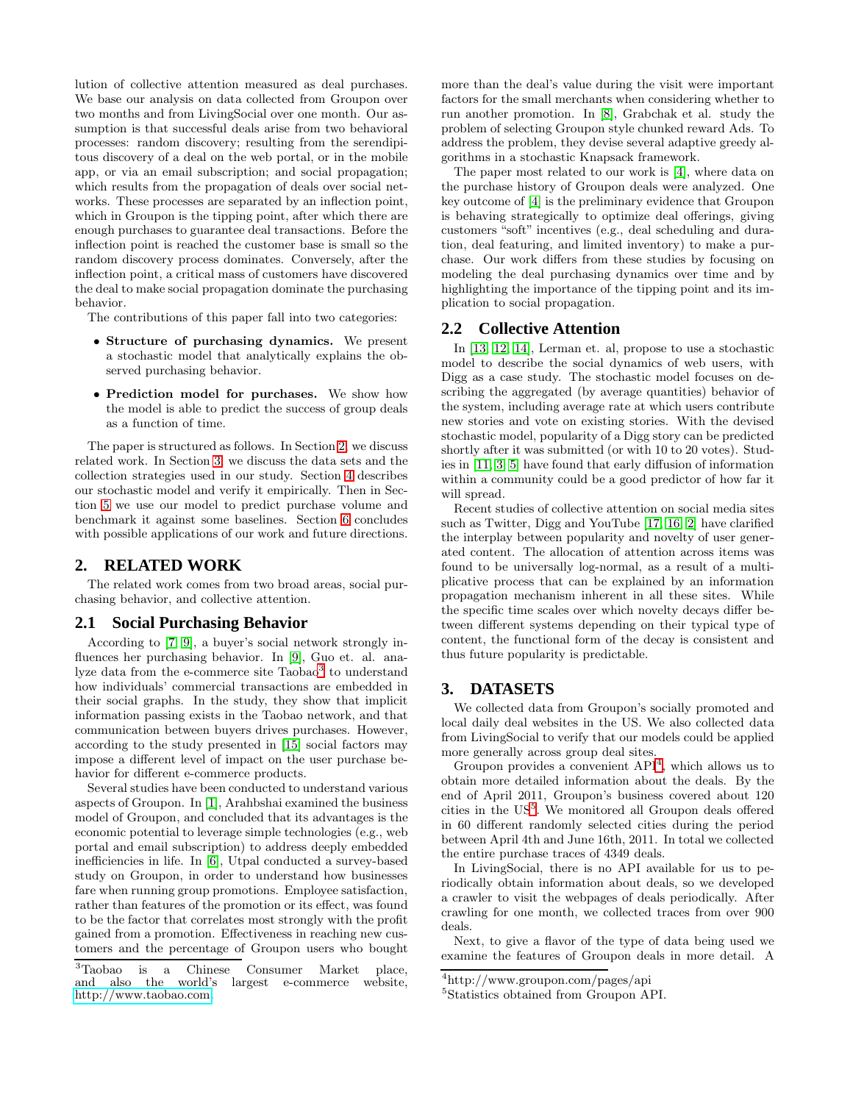lution of collective attention measured as deal purchases. We base our analysis on data collected from Groupon over two months and from LivingSocial over one month. Our assumption is that successful deals arise from two behavioral processes: random discovery; resulting from the serendipitous discovery of a deal on the web portal, or in the mobile app, or via an email subscription; and social propagation; which results from the propagation of deals over social networks. These processes are separated by an inflection point, which in Groupon is the tipping point, after which there are enough purchases to guarantee deal transactions. Before the inflection point is reached the customer base is small so the random discovery process dominates. Conversely, after the inflection point, a critical mass of customers have discovered the deal to make social propagation dominate the purchasing behavior.

The contributions of this paper fall into two categories:

- Structure of purchasing dynamics. We present a stochastic model that analytically explains the observed purchasing behavior.
- Prediction model for purchases. We show how the model is able to predict the success of group deals as a function of time.

The paper is structured as follows. In Section [2,](#page-1-0) we discuss related work. In Section [3,](#page-1-1) we discuss the data sets and the collection strategies used in our study. Section [4](#page-3-0) describes our stochastic model and verify it empirically. Then in Section [5](#page-6-0) we use our model to predict purchase volume and benchmark it against some baselines. Section [6](#page-8-0) concludes with possible applications of our work and future directions.

## <span id="page-1-0"></span>**2. RELATED WORK**

The related work comes from two broad areas, social purchasing behavior, and collective attention.

#### **2.1 Social Purchasing Behavior**

According to [\[7,](#page-9-1) [9\]](#page-9-2), a buyer's social network strongly influences her purchasing behavior. In [\[9\]](#page-9-2), Guo et. al. ana-lyze data from the e-commerce site Taobao<sup>[3](#page-1-2)</sup> to understand how individuals' commercial transactions are embedded in their social graphs. In the study, they show that implicit information passing exists in the Taobao network, and that communication between buyers drives purchases. However, according to the study presented in [\[15\]](#page-9-3) social factors may impose a different level of impact on the user purchase behavior for different e-commerce products.

Several studies have been conducted to understand various aspects of Groupon. In [\[1\]](#page-9-4), Arahbshai examined the business model of Groupon, and concluded that its advantages is the economic potential to leverage simple technologies (e.g., web portal and email subscription) to address deeply embedded inefficiencies in life. In [\[6\]](#page-9-5), Utpal conducted a survey-based study on Groupon, in order to understand how businesses fare when running group promotions. Employee satisfaction, rather than features of the promotion or its effect, was found to be the factor that correlates most strongly with the profit gained from a promotion. Effectiveness in reaching new customers and the percentage of Groupon users who bought

more than the deal's value during the visit were important factors for the small merchants when considering whether to run another promotion. In [\[8\]](#page-9-6), Grabchak et al. study the problem of selecting Groupon style chunked reward Ads. To address the problem, they devise several adaptive greedy algorithms in a stochastic Knapsack framework.

The paper most related to our work is [\[4\]](#page-9-7), where data on the purchase history of Groupon deals were analyzed. One key outcome of [\[4\]](#page-9-7) is the preliminary evidence that Groupon is behaving strategically to optimize deal offerings, giving customers "soft" incentives (e.g., deal scheduling and duration, deal featuring, and limited inventory) to make a purchase. Our work differs from these studies by focusing on modeling the deal purchasing dynamics over time and by highlighting the importance of the tipping point and its implication to social propagation.

#### **2.2 Collective Attention**

In [\[13,](#page-9-8) [12,](#page-9-9) [14\]](#page-9-10), Lerman et. al, propose to use a stochastic model to describe the social dynamics of web users, with Digg as a case study. The stochastic model focuses on describing the aggregated (by average quantities) behavior of the system, including average rate at which users contribute new stories and vote on existing stories. With the devised stochastic model, popularity of a Digg story can be predicted shortly after it was submitted (or with 10 to 20 votes). Studies in [\[11,](#page-9-11) [3,](#page-9-12) [5\]](#page-9-13) have found that early diffusion of information within a community could be a good predictor of how far it will spread.

Recent studies of collective attention on social media sites such as Twitter, Digg and YouTube [\[17,](#page-9-14) [16,](#page-9-15) [2\]](#page-9-16) have clarified the interplay between popularity and novelty of user generated content. The allocation of attention across items was found to be universally log-normal, as a result of a multiplicative process that can be explained by an information propagation mechanism inherent in all these sites. While the specific time scales over which novelty decays differ between different systems depending on their typical type of content, the functional form of the decay is consistent and thus future popularity is predictable.

## <span id="page-1-1"></span>**3. DATASETS**

We collected data from Groupon's socially promoted and local daily deal websites in the US. We also collected data from LivingSocial to verify that our models could be applied more generally across group deal sites.

Groupon provides a convenient  $API<sup>4</sup>$  $API<sup>4</sup>$  $API<sup>4</sup>$ , which allows us to obtain more detailed information about the deals. By the end of April 2011, Groupon's business covered about 120 cities in the US<sup>[5](#page-1-4)</sup>. We monitored all Groupon deals offered in 60 different randomly selected cities during the period between April 4th and June 16th, 2011. In total we collected the entire purchase traces of 4349 deals.

In LivingSocial, there is no API available for us to periodically obtain information about deals, so we developed a crawler to visit the webpages of deals periodically. After crawling for one month, we collected traces from over 900 deals.

Next, to give a flavor of the type of data being used we examine the features of Groupon deals in more detail. A

<span id="page-1-2"></span><sup>3</sup>Taobao is a Chinese Consumer Market place, and also the world's largest e-commerce website, [http://www.taobao.com.](http://www.taobao.com)

<sup>4</sup>http://www.groupon.com/pages/api

<span id="page-1-4"></span><span id="page-1-3"></span><sup>5</sup> Statistics obtained from Groupon API.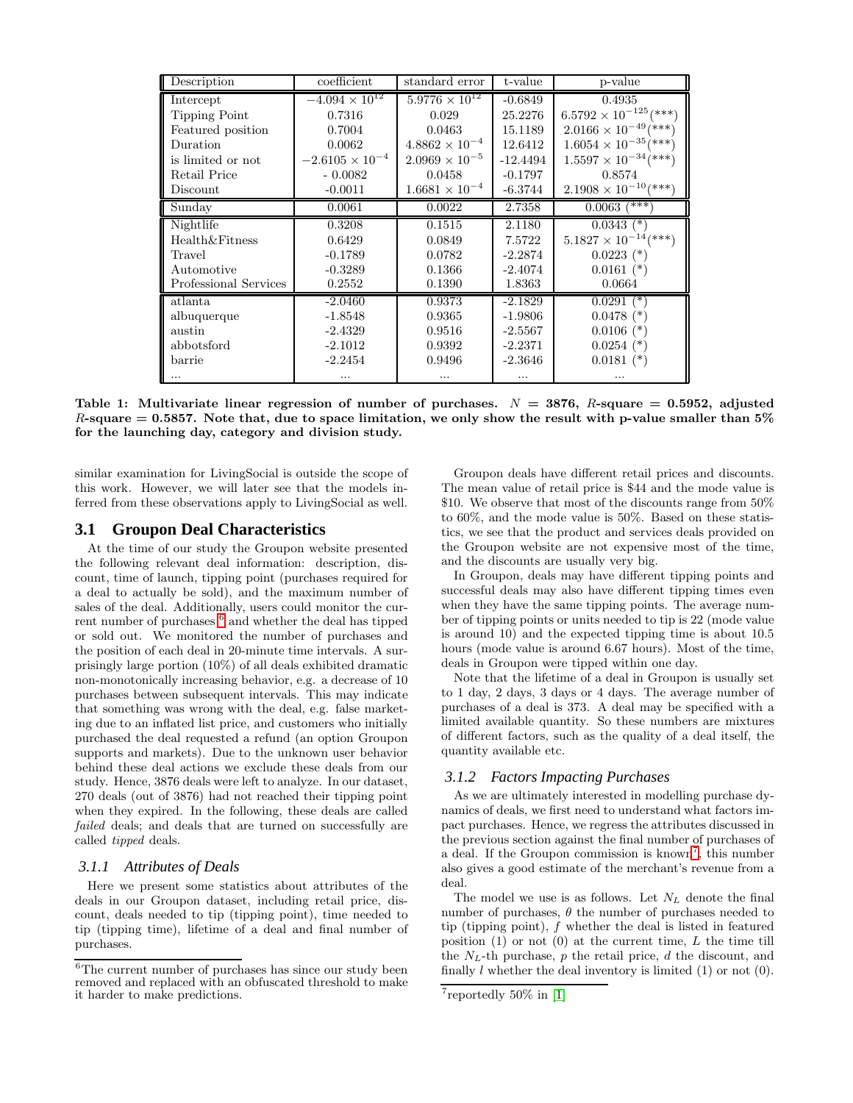| Description               | coefficient              | standard error          | t-value    | p-value                         |
|---------------------------|--------------------------|-------------------------|------------|---------------------------------|
| Intercept                 | $-4.094 \times 10^{12}$  | $5.9776 \times 10^{12}$ | $-0.6849$  | 0.4935                          |
| <b>Tipping Point</b>      | 0.7316                   | 0.029                   | 25.2276    | $6.5792 \times 10^{-125}$ (***) |
| Featured position         | 0.7004                   | 0.0463                  | 15.1189    | $2.0166 \times 10^{-49}$ (***)  |
| Duration                  | 0.0062                   | $4.8862 \times 10^{-4}$ | 12.6412    | $1.6054 \times 10^{-35}$ (***)  |
| is limited or not         | $-2.6105 \times 10^{-4}$ | $2.0969 \times 10^{-5}$ | $-12.4494$ | $1.5597 \times 10^{-34}$ (***)  |
| Retail Price              | $-0.0082$                | 0.0458                  | $-0.1797$  | 0.8574                          |
| Discount                  | $-0.0011$                | $1.6681 \times 10^{-4}$ | $-6.3744$  | $2.1908 \times 10^{-10}$ (***)  |
| Sunday                    | 0.0061                   | 0.0022                  | 2.7358     | $0.0063$ (***)                  |
| Nightlife                 | 0.3208                   | 0.1515                  | 2.1180     | $0.0343$ (*)                    |
| <b>Health&amp;Fitness</b> | 0.6429                   | 0.0849                  | 7.5722     | $5.1827 \times 10^{-14}$ (***)  |
| Travel                    | $-0.1789$                | 0.0782                  | $-2.2874$  | $0.0223$ $(*)$                  |
| Automotive                | $-0.3289$                | 0.1366                  | $-2.4074$  | $0.0161$ (*)                    |
| Professional Services     | 0.2552                   | 0.1390                  | 1.8363     | 0.0664                          |
| atlanta                   | $-2.0460$                | 0.9373                  | $-2.1829$  | $0.0291$ $(*)$                  |
| albuquerque               | $-1.8548$                | 0.9365                  | $-1.9806$  | $0.0478$ $(*)$                  |
| austin                    | $-2.4329$                | 0.9516                  | $-2.5567$  | $0.0106$ $(*)$                  |
| abbotsford                | $-2.1012$                | 0.9392                  | $-2.2371$  | $0.0254$ (*)                    |
| barrie                    | $-2.2454$                | 0.9496                  | $-2.3646$  | $0.0181$ $(*)$                  |
| $\cdots$                  | $\cdots$                 | .                       | .          |                                 |

<span id="page-2-2"></span>Table 1: Multivariate linear regression of number of purchases.  $N = 3876$ , R-square = 0.5952, adjusted R-square  $= 0.5857$ . Note that, due to space limitation, we only show the result with p-value smaller than  $5\%$ for the launching day, category and division study.

similar examination for LivingSocial is outside the scope of this work. However, we will later see that the models inferred from these observations apply to LivingSocial as well.

#### **3.1 Groupon Deal Characteristics**

At the time of our study the Groupon website presented the following relevant deal information: description, discount, time of launch, tipping point (purchases required for a deal to actually be sold), and the maximum number of sales of the deal. Additionally, users could monitor the current number of purchases  $^6$  $^6$  and whether the deal has tipped or sold out. We monitored the number of purchases and the position of each deal in 20-minute time intervals. A surprisingly large portion (10%) of all deals exhibited dramatic non-monotonically increasing behavior, e.g. a decrease of 10 purchases between subsequent intervals. This may indicate that something was wrong with the deal, e.g. false marketing due to an inflated list price, and customers who initially purchased the deal requested a refund (an option Groupon supports and markets). Due to the unknown user behavior behind these deal actions we exclude these deals from our study. Hence, 3876 deals were left to analyze. In our dataset, 270 deals (out of 3876) had not reached their tipping point when they expired. In the following, these deals are called failed deals; and deals that are turned on successfully are called tipped deals.

#### *3.1.1 Attributes of Deals*

Here we present some statistics about attributes of the deals in our Groupon dataset, including retail price, discount, deals needed to tip (tipping point), time needed to tip (tipping time), lifetime of a deal and final number of purchases.

Groupon deals have different retail prices and discounts. The mean value of retail price is \$44 and the mode value is \$10. We observe that most of the discounts range from  $50\%$ to 60%, and the mode value is 50%. Based on these statistics, we see that the product and services deals provided on the Groupon website are not expensive most of the time, and the discounts are usually very big.

In Groupon, deals may have different tipping points and successful deals may also have different tipping times even when they have the same tipping points. The average number of tipping points or units needed to tip is 22 (mode value is around 10) and the expected tipping time is about 10.5 hours (mode value is around 6.67 hours). Most of the time, deals in Groupon were tipped within one day.

Note that the lifetime of a deal in Groupon is usually set to 1 day, 2 days, 3 days or 4 days. The average number of purchases of a deal is 373. A deal may be specified with a limited available quantity. So these numbers are mixtures of different factors, such as the quality of a deal itself, the quantity available etc.

## *3.1.2 Factors Impacting Purchases*

As we are ultimately interested in modelling purchase dynamics of deals, we first need to understand what factors impact purchases. Hence, we regress the attributes discussed in the previous section against the final number of purchases of a deal. If the Groupon commission is known<sup>[7](#page-2-1)</sup>, this number also gives a good estimate of the merchant's revenue from a deal.

The model we use is as follows. Let  $N_L$  denote the final number of purchases,  $\theta$  the number of purchases needed to tip (tipping point), f whether the deal is listed in featured position  $(1)$  or not  $(0)$  at the current time, L the time till the  $N_L$ -th purchase, p the retail price, d the discount, and finally  $l$  whether the deal inventory is limited  $(1)$  or not  $(0)$ .

<span id="page-2-0"></span> ${}^{6}$ The current number of purchases has since our study been removed and replaced with an obfuscated threshold to make it harder to make predictions.

<span id="page-2-1"></span> $7$  reportedly 50% in [\[1\]](#page-9-4)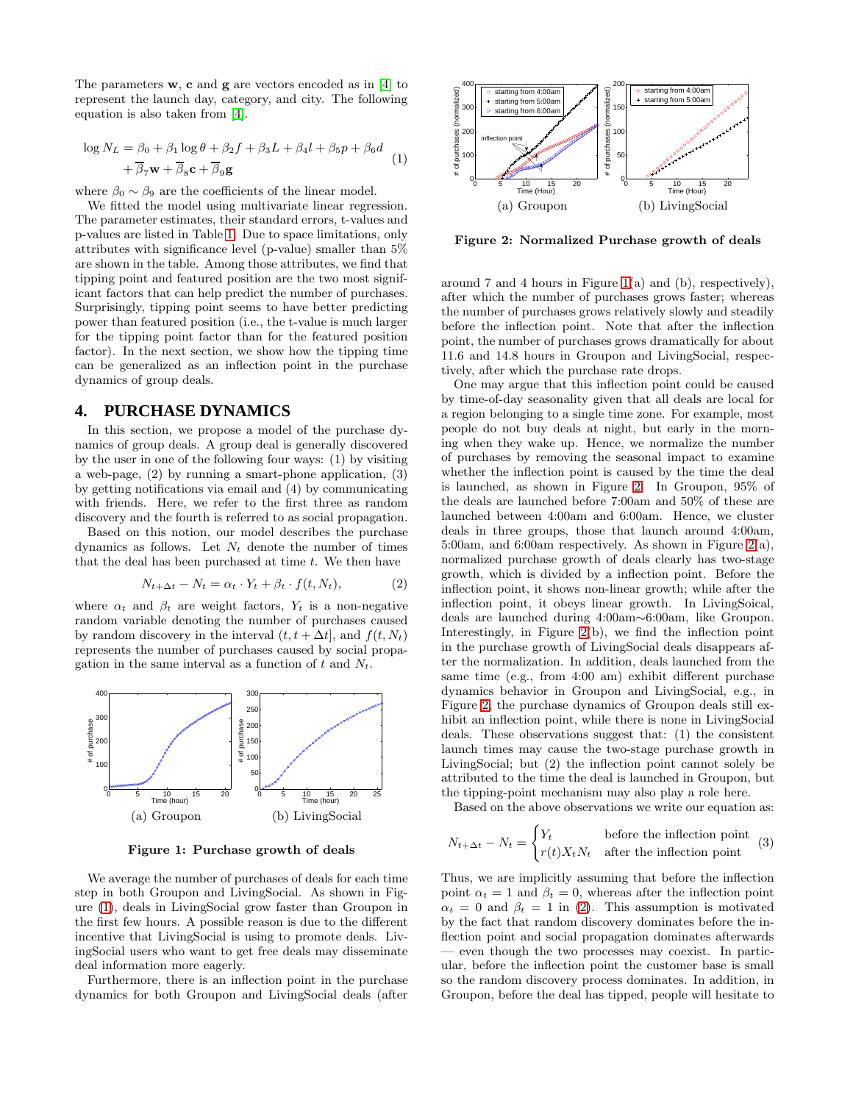The parameters **w**, **c** and **g** are vectors encoded as in [\[4\]](#page-9-7) to represent the launch day, category, and city. The following equation is also taken from [\[4\]](#page-9-7).

$$
\log N_L = \beta_0 + \beta_1 \log \theta + \beta_2 f + \beta_3 L + \beta_4 l + \beta_5 p + \beta_6 d
$$
  
+  $\overline{\beta}_7 \mathbf{w} + \overline{\beta}_8 \mathbf{c} + \overline{\beta}_9 \mathbf{g}$  (1)

where  $\beta_0 \sim \beta_9$  are the coefficients of the linear model.

We fitted the model using multivariate linear regression. The parameter estimates, their standard errors, t-values and p-values are listed in Table [1.](#page-2-2) Due to space limitations, only attributes with significance level (p-value) smaller than 5% are shown in the table. Among those attributes, we find that tipping point and featured position are the two most significant factors that can help predict the number of purchases. Surprisingly, tipping point seems to have better predicting power than featured position (i.e., the t-value is much larger for the tipping point factor than for the featured position factor). In the next section, we show how the tipping time can be generalized as an inflection point in the purchase dynamics of group deals.

#### <span id="page-3-0"></span>**4. PURCHASE DYNAMICS**

In this section, we propose a model of the purchase dynamics of group deals. A group deal is generally discovered by the user in one of the following four ways: (1) by visiting a web-page, (2) by running a smart-phone application, (3) by getting notifications via email and (4) by communicating with friends. Here, we refer to the first three as random discovery and the fourth is referred to as social propagation.

Based on this notion, our model describes the purchase dynamics as follows. Let  $N_t$  denote the number of times that the deal has been purchased at time  $t$ . We then have

<span id="page-3-3"></span>
$$
N_{t+\Delta t} - N_t = \alpha_t \cdot Y_t + \beta_t \cdot f(t, N_t), \tag{2}
$$

where  $\alpha_t$  and  $\beta_t$  are weight factors,  $Y_t$  is a non-negative random variable denoting the number of purchases caused by random discovery in the interval  $(t, t + \Delta t]$ , and  $f(t, N_t)$ represents the number of purchases caused by social propagation in the same interval as a function of t and  $N_t$ .



<span id="page-3-1"></span>Figure 1: Purchase growth of deals

We average the number of purchases of deals for each time step in both Groupon and LivingSocial. As shown in Figure [\(1\)](#page-3-1), deals in LivingSocial grow faster than Groupon in the first few hours. A possible reason is due to the different incentive that LivingSocial is using to promote deals. LivingSocial users who want to get free deals may disseminate deal information more eagerly.

Furthermore, there is an inflection point in the purchase dynamics for both Groupon and LivingSocial deals (after



<span id="page-3-2"></span>Figure 2: Normalized Purchase growth of deals

around 7 and 4 hours in Figure [1\(](#page-3-1)a) and (b), respectively), after which the number of purchases grows faster; whereas the number of purchases grows relatively slowly and steadily before the inflection point. Note that after the inflection point, the number of purchases grows dramatically for about 11.6 and 14.8 hours in Groupon and LivingSocial, respectively, after which the purchase rate drops.

One may argue that this inflection point could be caused by time-of-day seasonality given that all deals are local for a region belonging to a single time zone. For example, most people do not buy deals at night, but early in the morning when they wake up. Hence, we normalize the number of purchases by removing the seasonal impact to examine whether the inflection point is caused by the time the deal is launched, as shown in Figure [2.](#page-3-2) In Groupon, 95% of the deals are launched before 7:00am and 50% of these are launched between 4:00am and 6:00am. Hence, we cluster deals in three groups, those that launch around 4:00am, 5:00am, and 6:00am respectively. As shown in Figure [2\(](#page-3-2)a), normalized purchase growth of deals clearly has two-stage growth, which is divided by a inflection point. Before the inflection point, it shows non-linear growth; while after the inflection point, it obeys linear growth. In LivingSoical, deals are launched during 4:00am∼6:00am, like Groupon. Interestingly, in Figure [2\(](#page-3-2)b), we find the inflection point in the purchase growth of LivingSocial deals disappears after the normalization. In addition, deals launched from the same time (e.g., from 4:00 am) exhibit different purchase dynamics behavior in Groupon and LivingSocial, e.g., in Figure [2,](#page-3-2) the purchase dynamics of Groupon deals still exhibit an inflection point, while there is none in LivingSocial deals. These observations suggest that: (1) the consistent launch times may cause the two-stage purchase growth in LivingSocial; but (2) the inflection point cannot solely be attributed to the time the deal is launched in Groupon, but the tipping-point mechanism may also play a role here.

Based on the above observations we write our equation as:

<span id="page-3-4"></span>
$$
N_{t+\Delta t} - N_t = \begin{cases} Y_t & \text{before the inflection point} \\ r(t)X_tN_t & \text{after the inflection point} \end{cases}
$$
 (3)

Thus, we are implicitly assuming that before the inflection point  $\alpha_t = 1$  and  $\beta_t = 0$ , whereas after the inflection point  $\alpha_t = 0$  and  $\beta_t = 1$  in [\(2\)](#page-3-3). This assumption is motivated by the fact that random discovery dominates before the inflection point and social propagation dominates afterwards — even though the two processes may coexist. In particular, before the inflection point the customer base is small so the random discovery process dominates. In addition, in Groupon, before the deal has tipped, people will hesitate to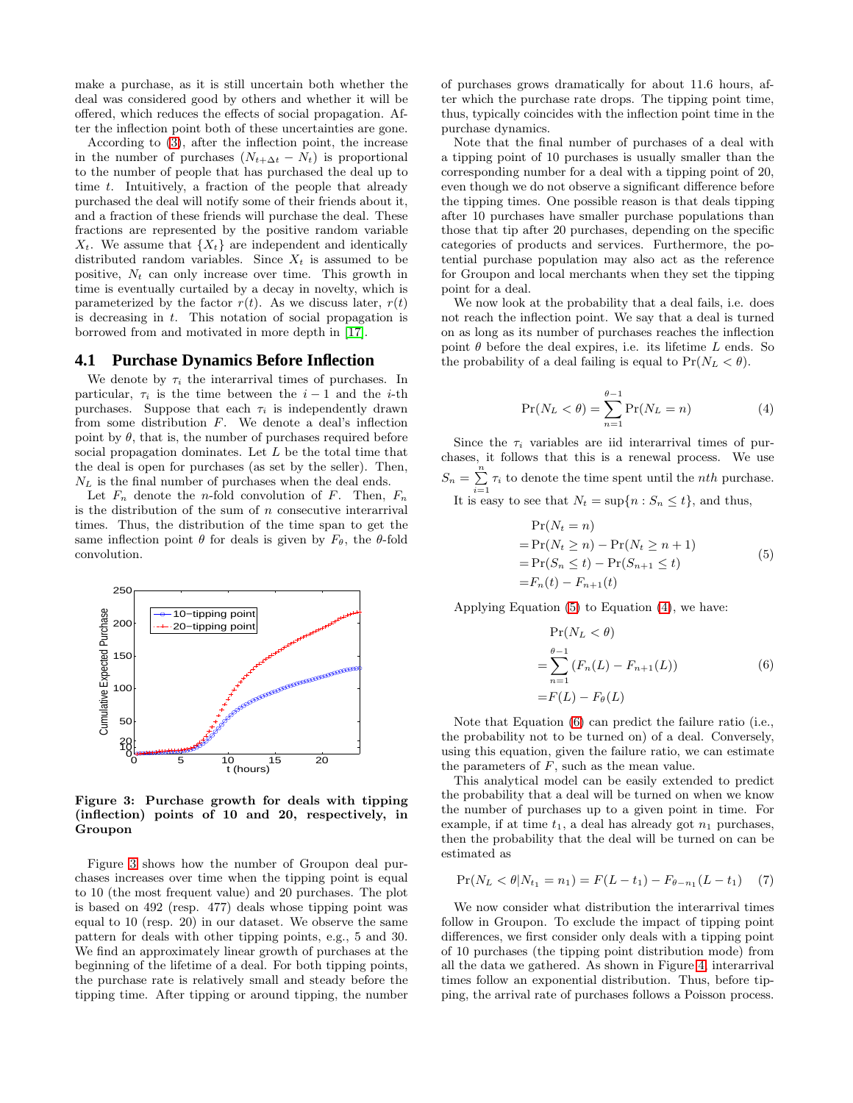make a purchase, as it is still uncertain both whether the deal was considered good by others and whether it will be offered, which reduces the effects of social propagation. After the inflection point both of these uncertainties are gone.

According to [\(3\)](#page-3-4), after the inflection point, the increase in the number of purchases  $(N_{t+\Delta t} - N_t)$  is proportional to the number of people that has purchased the deal up to time t. Intuitively, a fraction of the people that already purchased the deal will notify some of their friends about it, and a fraction of these friends will purchase the deal. These fractions are represented by the positive random variable  $X_t$ . We assume that  $\{X_t\}$  are independent and identically distributed random variables. Since  $X_t$  is assumed to be positive,  $N_t$  can only increase over time. This growth in time is eventually curtailed by a decay in novelty, which is parameterized by the factor  $r(t)$ . As we discuss later,  $r(t)$ is decreasing in t. This notation of social propagation is borrowed from and motivated in more depth in [\[17\]](#page-9-14).

#### **4.1 Purchase Dynamics Before Inflection**

We denote by  $\tau_i$  the interarrival times of purchases. In particular,  $\tau_i$  is the time between the  $i-1$  and the i-th purchases. Suppose that each  $\tau_i$  is independently drawn from some distribution  $F$ . We denote a deal's inflection point by  $\theta$ , that is, the number of purchases required before social propagation dominates. Let L be the total time that the deal is open for purchases (as set by the seller). Then,  $N_L$  is the final number of purchases when the deal ends.

Let  $F_n$  denote the *n*-fold convolution of F. Then,  $F_n$ is the distribution of the sum of  $n$  consecutive interarrival times. Thus, the distribution of the time span to get the same inflection point  $\theta$  for deals is given by  $F_{\theta}$ , the  $\theta$ -fold convolution.



<span id="page-4-0"></span>Figure 3: Purchase growth for deals with tipping (inflection) points of 10 and 20, respectively, in Groupon

Figure [3](#page-4-0) shows how the number of Groupon deal purchases increases over time when the tipping point is equal to 10 (the most frequent value) and 20 purchases. The plot is based on 492 (resp. 477) deals whose tipping point was equal to 10 (resp. 20) in our dataset. We observe the same pattern for deals with other tipping points, e.g., 5 and 30. We find an approximately linear growth of purchases at the beginning of the lifetime of a deal. For both tipping points, the purchase rate is relatively small and steady before the tipping time. After tipping or around tipping, the number

of purchases grows dramatically for about 11.6 hours, after which the purchase rate drops. The tipping point time, thus, typically coincides with the inflection point time in the purchase dynamics.

Note that the final number of purchases of a deal with a tipping point of 10 purchases is usually smaller than the corresponding number for a deal with a tipping point of 20, even though we do not observe a significant difference before the tipping times. One possible reason is that deals tipping after 10 purchases have smaller purchase populations than those that tip after 20 purchases, depending on the specific categories of products and services. Furthermore, the potential purchase population may also act as the reference for Groupon and local merchants when they set the tipping point for a deal.

We now look at the probability that a deal fails, i.e. does not reach the inflection point. We say that a deal is turned on as long as its number of purchases reaches the inflection point  $\theta$  before the deal expires, i.e. its lifetime L ends. So the probability of a deal failing is equal to  $Pr(N_L < \theta)$ .

<span id="page-4-2"></span>
$$
\Pr(N_L < \theta) = \sum_{n=1}^{\theta - 1} \Pr(N_L = n) \tag{4}
$$

Since the  $\tau_i$  variables are iid interarrival times of purchases, it follows that this is a renewal process. We use  $S_n = \sum_{i=1}^n \tau_i$  to denote the time spent until the *nth* purchase. It is easy to see that  $N_t = \sup\{n : S_n \le t\}$ , and thus,

$$
\Pr(N_t = n) \n= \Pr(N_t \ge n) - \Pr(N_t \ge n + 1) \n= \Pr(S_n \le t) - \Pr(S_{n+1} \le t) \n= F_n(t) - F_{n+1}(t)
$$
\n(5)

<span id="page-4-1"></span>Applying Equation [\(5\)](#page-4-1) to Equation [\(4\)](#page-4-2), we have:

$$
\Pr(N_L < \theta) \\
= \sum_{n=1}^{\theta - 1} \left( F_n(L) - F_{n+1}(L) \right) \\
= F(L) - F_{\theta}(L)
$$
\n
$$
(6)
$$

<span id="page-4-3"></span>Note that Equation [\(6\)](#page-4-3) can predict the failure ratio (i.e., the probability not to be turned on) of a deal. Conversely, using this equation, given the failure ratio, we can estimate the parameters of  $F$ , such as the mean value.

This analytical model can be easily extended to predict the probability that a deal will be turned on when we know the number of purchases up to a given point in time. For example, if at time  $t_1$ , a deal has already got  $n_1$  purchases, then the probability that the deal will be turned on can be estimated as

$$
Pr(N_L < \theta | N_{t_1} = n_1) = F(L - t_1) - F_{\theta - n_1}(L - t_1) \tag{7}
$$

We now consider what distribution the interarrival times follow in Groupon. To exclude the impact of tipping point differences, we first consider only deals with a tipping point of 10 purchases (the tipping point distribution mode) from all the data we gathered. As shown in Figure [4,](#page-5-0) interarrival times follow an exponential distribution. Thus, before tipping, the arrival rate of purchases follows a Poisson process.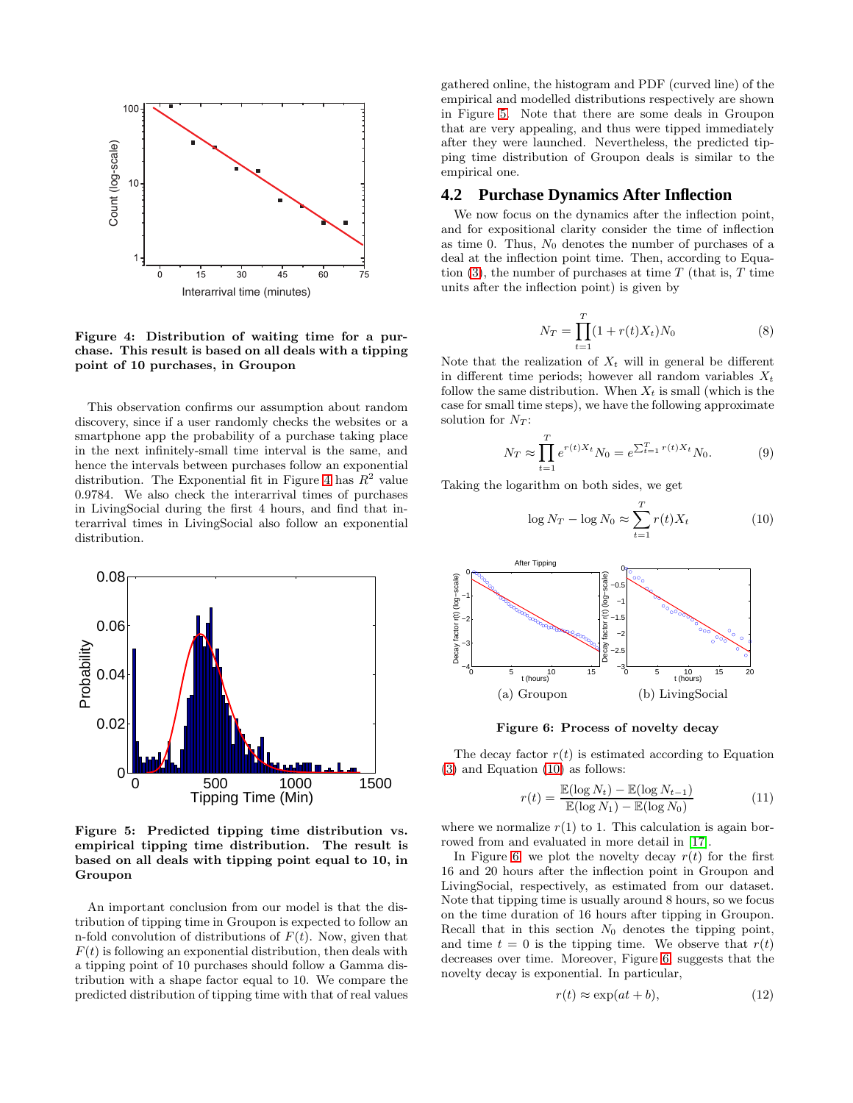

<span id="page-5-0"></span>Figure 4: Distribution of waiting time for a purchase. This result is based on all deals with a tipping point of 10 purchases, in Groupon

This observation confirms our assumption about random discovery, since if a user randomly checks the websites or a smartphone app the probability of a purchase taking place in the next infinitely-small time interval is the same, and hence the intervals between purchases follow an exponential distribution. The Exponential fit in Figure [4](#page-5-0) has  $R^2$  value 0.9784. We also check the interarrival times of purchases in LivingSocial during the first 4 hours, and find that interarrival times in LivingSocial also follow an exponential distribution.



<span id="page-5-1"></span>Figure 5: Predicted tipping time distribution vs. empirical tipping time distribution. The result is based on all deals with tipping point equal to 10, in Groupon

An important conclusion from our model is that the distribution of tipping time in Groupon is expected to follow an n-fold convolution of distributions of  $F(t)$ . Now, given that  $F(t)$  is following an exponential distribution, then deals with a tipping point of 10 purchases should follow a Gamma distribution with a shape factor equal to 10. We compare the predicted distribution of tipping time with that of real values

gathered online, the histogram and PDF (curved line) of the empirical and modelled distributions respectively are shown in Figure [5.](#page-5-1) Note that there are some deals in Groupon that are very appealing, and thus were tipped immediately after they were launched. Nevertheless, the predicted tipping time distribution of Groupon deals is similar to the empirical one.

## **4.2 Purchase Dynamics After Inflection**

We now focus on the dynamics after the inflection point, and for expositional clarity consider the time of inflection as time 0. Thus,  $N_0$  denotes the number of purchases of a deal at the inflection point time. Then, according to Equation  $(3)$ , the number of purchases at time T (that is, T time units after the inflection point) is given by

$$
N_T = \prod_{t=1}^T (1 + r(t)X_t)N_0
$$
\n(8)

Note that the realization of  $X_t$  will in general be different in different time periods; however all random variables  $X_t$ follow the same distribution. When  $X_t$  is small (which is the case for small time steps), we have the following approximate solution for  $N_T$ :

<span id="page-5-4"></span>
$$
N_T \approx \prod_{t=1}^T e^{r(t)X_t} N_0 = e^{\sum_{t=1}^T r(t)X_t} N_0.
$$
 (9)

Taking the logarithm on both sides, we get

<span id="page-5-2"></span>
$$
\log N_T - \log N_0 \approx \sum_{t=1}^T r(t)X_t \tag{10}
$$



Figure 6: Process of novelty decay

The decay factor  $r(t)$  is estimated according to Equation [\(3\)](#page-3-4) and Equation [\(10\)](#page-5-2) as follows:

<span id="page-5-3"></span>
$$
r(t) = \frac{\mathbb{E}(\log N_t) - \mathbb{E}(\log N_{t-1})}{\mathbb{E}(\log N_1) - \mathbb{E}(\log N_0)}
$$
(11)

where we normalize  $r(1)$  to 1. This calculation is again borrowed from and evaluated in more detail in [\[17\]](#page-9-14).

In Figure [6,](#page-5-3) we plot the novelty decay  $r(t)$  for the first 16 and 20 hours after the inflection point in Groupon and LivingSocial, respectively, as estimated from our dataset. Note that tipping time is usually around 8 hours, so we focus on the time duration of 16 hours after tipping in Groupon. Recall that in this section  $N_0$  denotes the tipping point, and time  $t = 0$  is the tipping time. We observe that  $r(t)$ decreases over time. Moreover, Figure [6,](#page-5-3) suggests that the novelty decay is exponential. In particular,

$$
r(t) \approx \exp(at + b), \tag{12}
$$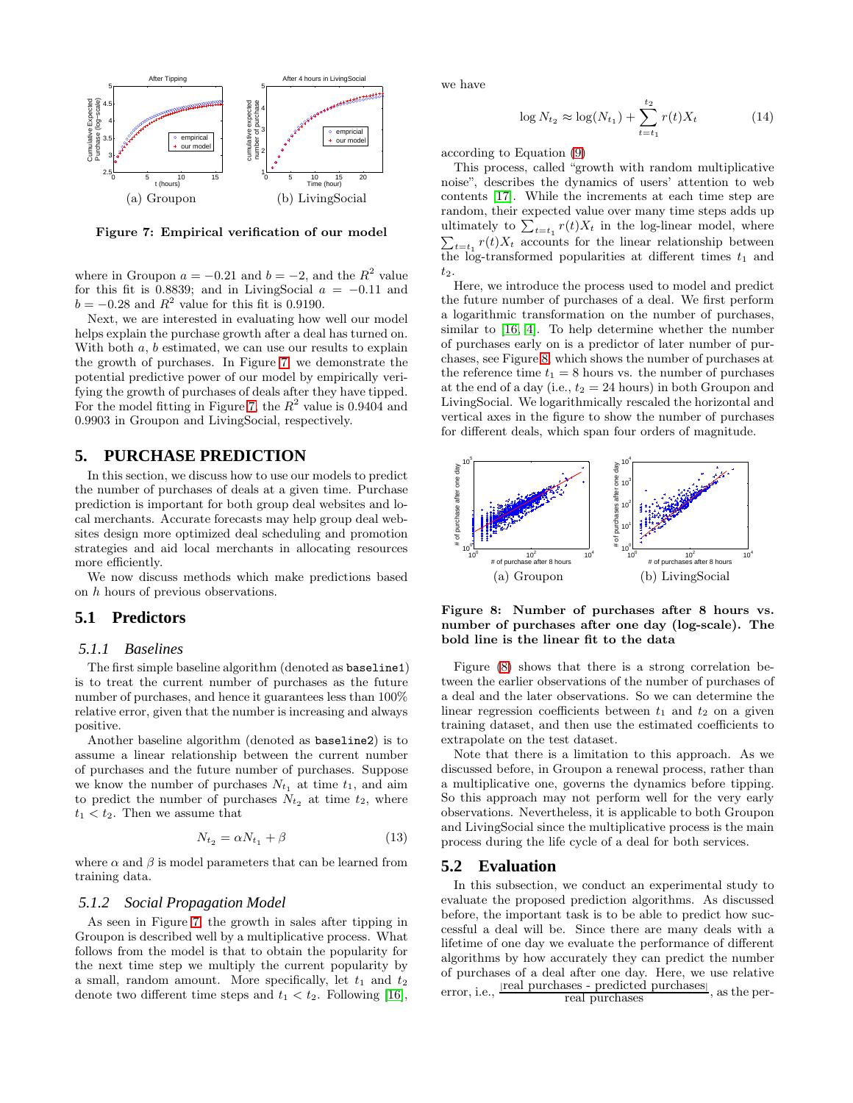

<span id="page-6-1"></span>Figure 7: Empirical verification of our model

where in Groupon  $a = -0.21$  and  $b = -2$ , and the  $R^2$  value for this fit is 0.8839; and in LivingSocial  $a = -0.11$  and  $b = -0.28$  and  $R^2$  value for this fit is 0.9190.

Next, we are interested in evaluating how well our model helps explain the purchase growth after a deal has turned on. With both  $a, b$  estimated, we can use our results to explain the growth of purchases. In Figure [7,](#page-6-1) we demonstrate the potential predictive power of our model by empirically verifying the growth of purchases of deals after they have tipped. For the model fitting in Figure [7,](#page-6-1) the  $R^2$  value is 0.9404 and 0.9903 in Groupon and LivingSocial, respectively.

## <span id="page-6-0"></span>**5. PURCHASE PREDICTION**

In this section, we discuss how to use our models to predict the number of purchases of deals at a given time. Purchase prediction is important for both group deal websites and local merchants. Accurate forecasts may help group deal websites design more optimized deal scheduling and promotion strategies and aid local merchants in allocating resources more efficiently.

We now discuss methods which make predictions based on h hours of previous observations.

#### **5.1 Predictors**

#### *5.1.1 Baselines*

The first simple baseline algorithm (denoted as baseline1) is to treat the current number of purchases as the future number of purchases, and hence it guarantees less than 100% relative error, given that the number is increasing and always positive.

Another baseline algorithm (denoted as baseline2) is to assume a linear relationship between the current number of purchases and the future number of purchases. Suppose we know the number of purchases  $N_{t_1}$  at time  $t_1$ , and aim to predict the number of purchases  $N_{t_2}$  at time  $t_2$ , where  $t_1 < t_2$ . Then we assume that

$$
N_{t_2} = \alpha N_{t_1} + \beta \tag{13}
$$

where  $\alpha$  and  $\beta$  is model parameters that can be learned from training data.

#### *5.1.2 Social Propagation Model*

As seen in Figure [7,](#page-6-1) the growth in sales after tipping in Groupon is described well by a multiplicative process. What follows from the model is that to obtain the popularity for the next time step we multiply the current popularity by a small, random amount. More specifically, let  $t_1$  and  $t_2$ denote two different time steps and  $t_1 < t_2$ . Following [\[16\]](#page-9-15),

we have

$$
\log N_{t_2} \approx \log(N_{t_1}) + \sum_{t=t_1}^{t_2} r(t) X_t \tag{14}
$$

according to Equation [\(9\)](#page-5-4)

This process, called "growth with random multiplicative noise", describes the dynamics of users' attention to web contents [\[17\]](#page-9-14). While the increments at each time step are random, their expected value over many time steps adds up ultimately to  $\sum_{t=t_1} r(t)X_t$  in the log-linear model, where  $\sum_{t=t_1} r(t)X_t$  accounts for the linear relationship between the log-transformed popularities at different times  $t_1$  and  $t_2$ .

Here, we introduce the process used to model and predict the future number of purchases of a deal. We first perform a logarithmic transformation on the number of purchases, similar to [\[16,](#page-9-15) [4\]](#page-9-7). To help determine whether the number of purchases early on is a predictor of later number of purchases, see Figure [8,](#page-6-2) which shows the number of purchases at the reference time  $t_1 = 8$  hours vs. the number of purchases at the end of a day (i.e.,  $t_2 = 24$  hours) in both Groupon and LivingSocial. We logarithmically rescaled the horizontal and vertical axes in the figure to show the number of purchases for different deals, which span four orders of magnitude.



<span id="page-6-2"></span>Figure 8: Number of purchases after 8 hours vs. number of purchases after one day (log-scale). The bold line is the linear fit to the data

Figure [\(8\)](#page-6-2) shows that there is a strong correlation between the earlier observations of the number of purchases of a deal and the later observations. So we can determine the linear regression coefficients between  $t_1$  and  $t_2$  on a given training dataset, and then use the estimated coefficients to extrapolate on the test dataset.

Note that there is a limitation to this approach. As we discussed before, in Groupon a renewal process, rather than a multiplicative one, governs the dynamics before tipping. So this approach may not perform well for the very early observations. Nevertheless, it is applicable to both Groupon and LivingSocial since the multiplicative process is the main process during the life cycle of a deal for both services.

#### **5.2 Evaluation**

In this subsection, we conduct an experimental study to evaluate the proposed prediction algorithms. As discussed before, the important task is to be able to predict how successful a deal will be. Since there are many deals with a lifetime of one day we evaluate the performance of different algorithms by how accurately they can predict the number of purchases of a deal after one day. Here, we use relative error, i.e.,  $\frac{|\text{real purchases - predicted purchases}|}{\text{real purchases}},$  as the per-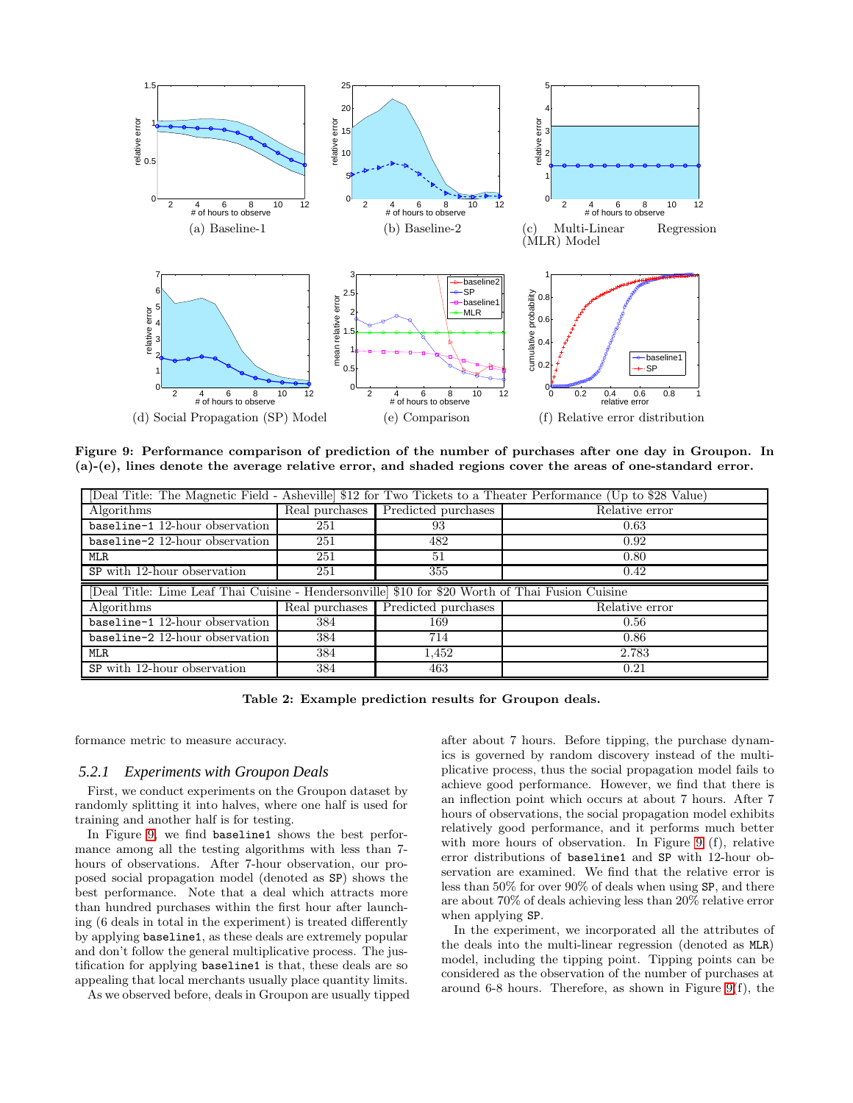

<span id="page-7-0"></span>Figure 9: Performance comparison of prediction of the number of purchases after one day in Groupon. In (a)-(e), lines denote the average relative error, and shaded regions cover the areas of one-standard error.

| [Deal Title: The Magnetic Field - Asheville] \$12 for Two Tickets to a Theater Performance (Up to \$28 Value) |                |                     |                |  |  |  |  |
|---------------------------------------------------------------------------------------------------------------|----------------|---------------------|----------------|--|--|--|--|
| Algorithms                                                                                                    | Real purchases | Predicted purchases | Relative error |  |  |  |  |
| baseline-1 12-hour observation                                                                                | 251            | 93                  | 0.63           |  |  |  |  |
| baseline-2 12-hour observation                                                                                | 251            | 482                 | 0.92           |  |  |  |  |
| MLR.                                                                                                          | 251            | 51                  | 0.80           |  |  |  |  |
| SP with 12-hour observation                                                                                   | 251            | 355                 | 0.42           |  |  |  |  |
| [Deal Title: Lime Leaf Thai Cuisine - Hendersonville] \$10 for \$20 Worth of Thai Fusion Cuisine              |                |                     |                |  |  |  |  |
|                                                                                                               |                |                     |                |  |  |  |  |
| Algorithms                                                                                                    | Real purchases | Predicted purchases | Relative error |  |  |  |  |
| baseline-1 12-hour observation                                                                                | 384            | 169                 | 0.56           |  |  |  |  |
| baseline-2 12-hour observation                                                                                | 384            | 714                 | 0.86           |  |  |  |  |
| MLR.                                                                                                          | 384            | 1,452               | 2.783          |  |  |  |  |

<span id="page-7-1"></span>Table 2: Example prediction results for Groupon deals.

formance metric to measure accuracy.

#### *5.2.1 Experiments with Groupon Deals*

First, we conduct experiments on the Groupon dataset by randomly splitting it into halves, where one half is used for training and another half is for testing.

In Figure [9,](#page-7-0) we find baseline1 shows the best performance among all the testing algorithms with less than 7 hours of observations. After 7-hour observation, our proposed social propagation model (denoted as SP) shows the best performance. Note that a deal which attracts more than hundred purchases within the first hour after launching (6 deals in total in the experiment) is treated differently by applying baseline1, as these deals are extremely popular and don't follow the general multiplicative process. The justification for applying baseline1 is that, these deals are so appealing that local merchants usually place quantity limits.

As we observed before, deals in Groupon are usually tipped

after about 7 hours. Before tipping, the purchase dynamics is governed by random discovery instead of the multiplicative process, thus the social propagation model fails to achieve good performance. However, we find that there is an inflection point which occurs at about 7 hours. After 7 hours of observations, the social propagation model exhibits relatively good performance, and it performs much better with more hours of observation. In Figure [9](#page-7-0) (f), relative error distributions of baseline1 and SP with 12-hour observation are examined. We find that the relative error is less than 50% for over 90% of deals when using SP, and there are about 70% of deals achieving less than 20% relative error when applying SP.

In the experiment, we incorporated all the attributes of the deals into the multi-linear regression (denoted as MLR) model, including the tipping point. Tipping points can be considered as the observation of the number of purchases at around 6-8 hours. Therefore, as shown in Figure [9\(](#page-7-0)f), the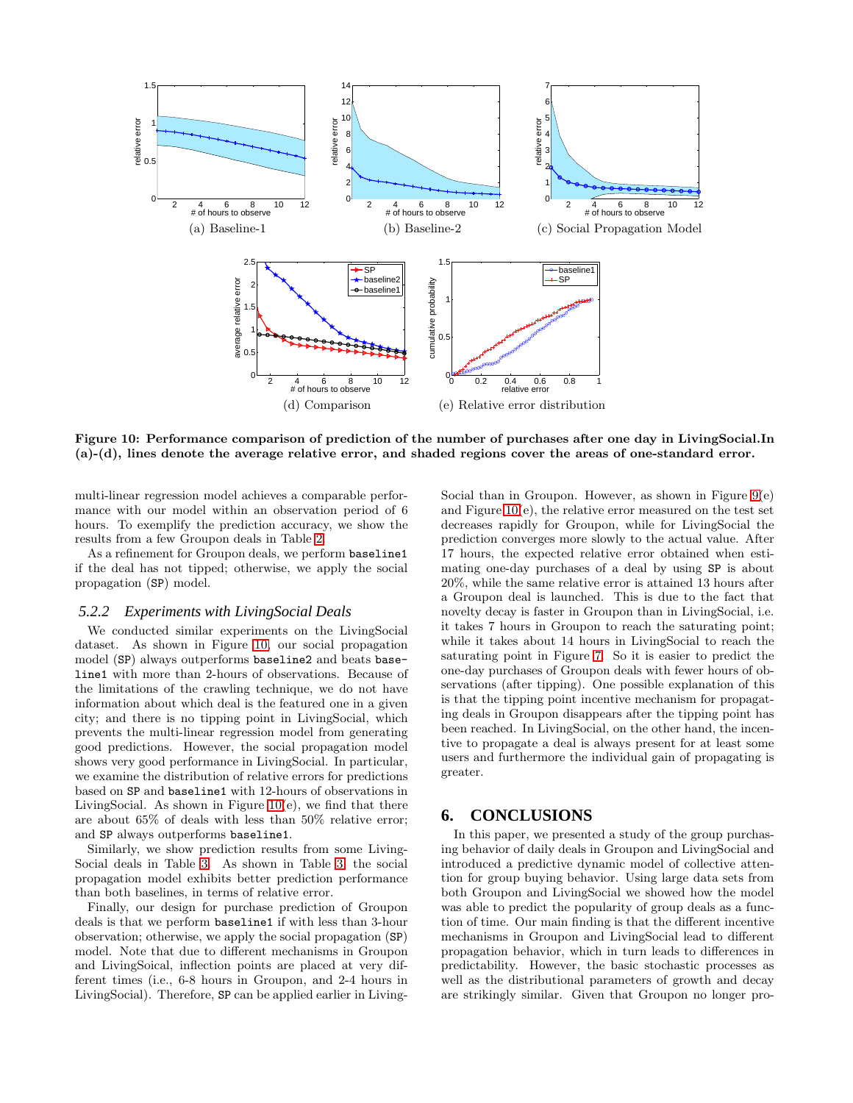

<span id="page-8-1"></span>Figure 10: Performance comparison of prediction of the number of purchases after one day in LivingSocial.In (a)-(d), lines denote the average relative error, and shaded regions cover the areas of one-standard error.

multi-linear regression model achieves a comparable performance with our model within an observation period of 6 hours. To exemplify the prediction accuracy, we show the results from a few Groupon deals in Table [2.](#page-7-1)

As a refinement for Groupon deals, we perform baseline1 if the deal has not tipped; otherwise, we apply the social propagation (SP) model.

#### *5.2.2 Experiments with LivingSocial Deals*

We conducted similar experiments on the LivingSocial dataset. As shown in Figure [10,](#page-8-1) our social propagation model (SP) always outperforms baseline2 and beats baseline1 with more than 2-hours of observations. Because of the limitations of the crawling technique, we do not have information about which deal is the featured one in a given city; and there is no tipping point in LivingSocial, which prevents the multi-linear regression model from generating good predictions. However, the social propagation model shows very good performance in LivingSocial. In particular, we examine the distribution of relative errors for predictions based on SP and baseline1 with 12-hours of observations in LivingSocial. As shown in Figure [10\(](#page-8-1)e), we find that there are about 65% of deals with less than 50% relative error; and SP always outperforms baseline1.

Similarly, we show prediction results from some Living-Social deals in Table [3.](#page-9-17) As shown in Table [3,](#page-9-17) the social propagation model exhibits better prediction performance than both baselines, in terms of relative error.

Finally, our design for purchase prediction of Groupon deals is that we perform baseline1 if with less than 3-hour observation; otherwise, we apply the social propagation (SP) model. Note that due to different mechanisms in Groupon and LivingSoical, inflection points are placed at very different times (i.e., 6-8 hours in Groupon, and 2-4 hours in LivingSocial). Therefore, SP can be applied earlier in LivingSocial than in Groupon. However, as shown in Figure  $9(e)$ and Figure [10\(](#page-8-1)e), the relative error measured on the test set decreases rapidly for Groupon, while for LivingSocial the prediction converges more slowly to the actual value. After 17 hours, the expected relative error obtained when estimating one-day purchases of a deal by using SP is about 20%, while the same relative error is attained 13 hours after a Groupon deal is launched. This is due to the fact that novelty decay is faster in Groupon than in LivingSocial, i.e. it takes 7 hours in Groupon to reach the saturating point; while it takes about 14 hours in LivingSocial to reach the saturating point in Figure [7.](#page-6-1) So it is easier to predict the one-day purchases of Groupon deals with fewer hours of observations (after tipping). One possible explanation of this is that the tipping point incentive mechanism for propagating deals in Groupon disappears after the tipping point has been reached. In LivingSocial, on the other hand, the incentive to propagate a deal is always present for at least some users and furthermore the individual gain of propagating is greater.

## <span id="page-8-0"></span>**6. CONCLUSIONS**

In this paper, we presented a study of the group purchasing behavior of daily deals in Groupon and LivingSocial and introduced a predictive dynamic model of collective attention for group buying behavior. Using large data sets from both Groupon and LivingSocial we showed how the model was able to predict the popularity of group deals as a function of time. Our main finding is that the different incentive mechanisms in Groupon and LivingSocial lead to different propagation behavior, which in turn leads to differences in predictability. However, the basic stochastic processes as well as the distributional parameters of growth and decay are strikingly similar. Given that Groupon no longer pro-